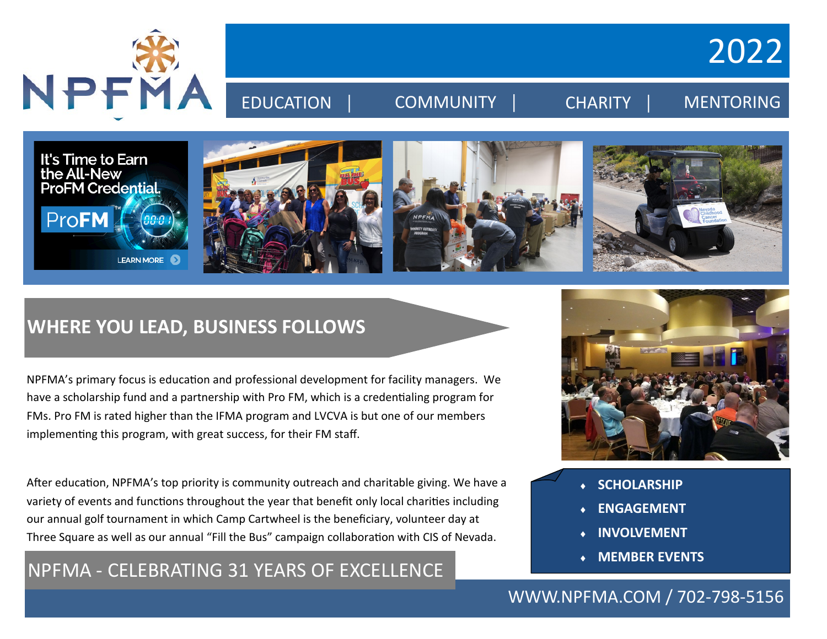

2022

# EDUCATION | COMMUNITY | CHARITY | MENTORING



## **WHERE YOU LEAD, BUSINESS FOLLOWS**

NPFMA's primary focus is education and professional development for facility managers. We have a scholarship fund and a partnership with Pro FM, which is a credentialing program for FMs. Pro FM is rated higher than the IFMA program and LVCVA is but one of our members implementing this program, with great success, for their FM staff.

After education, NPFMA's top priority is community outreach and charitable giving. We have a variety of events and functions throughout the year that benefit only local charities including our annual golf tournament in which Camp Cartwheel is the beneficiary, volunteer day at Three Square as well as our annual "Fill the Bus" campaign collaboration with CIS of Nevada.

### NPFMA - CELEBRATING 31 YEARS OF EXCELLENCE



- **SCHOLARSHIP**
- **ENGAGEMENT**
- **INVOLVEMENT**
- **MEMBER EVENTS**

#### WWW.NPFMA.COM / 702-798-5156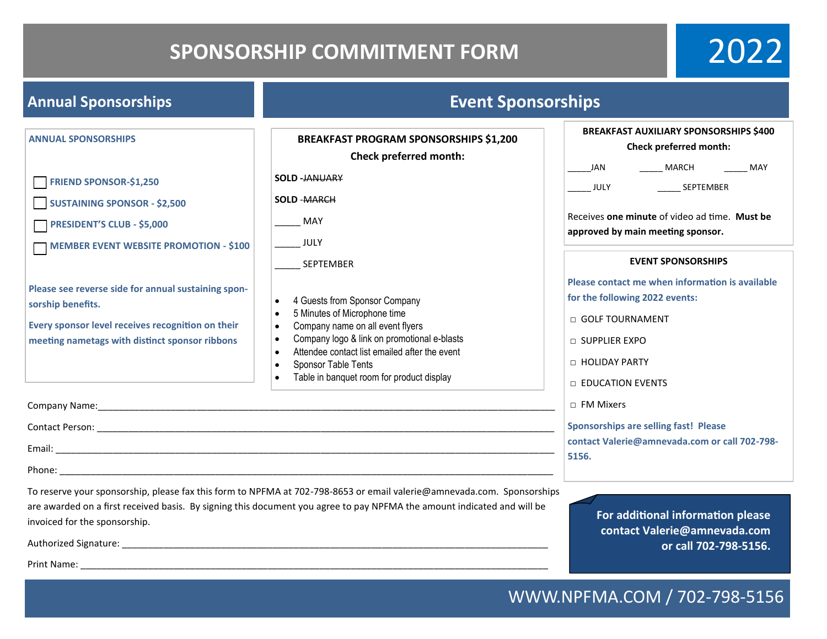## **SPONSORSHIP COMMITMENT FORM**

2022

| <b>Annual Sponsorships</b>                                                                                                                                                        | <b>Event Sponsorships</b>                                                                                                                                                                                                                                                                       |                                                                                                                                                                                                                                                         |
|-----------------------------------------------------------------------------------------------------------------------------------------------------------------------------------|-------------------------------------------------------------------------------------------------------------------------------------------------------------------------------------------------------------------------------------------------------------------------------------------------|---------------------------------------------------------------------------------------------------------------------------------------------------------------------------------------------------------------------------------------------------------|
| <b>ANNUAL SPONSORSHIPS</b><br>FRIEND SPONSOR-\$1,250<br><b>SUSTAINING SPONSOR - \$2,500</b><br><b>PRESIDENT'S CLUB - \$5,000</b><br><b>MEMBER EVENT WEBSITE PROMOTION - \$100</b> | <b>BREAKFAST PROGRAM SPONSORSHIPS \$1,200</b><br>Check preferred month:<br><b>SOLD -JANUARY</b><br><b>SOLD -MARCH</b><br>MAY<br><b>JULY</b>                                                                                                                                                     | <b>BREAKFAST AUXILIARY SPONSORSHIPS \$400</b><br>Check preferred month:<br>JAN<br><b>MARCH</b><br>$\frac{1}{2}$ MAY<br>SEPTEMBER<br>$\overline{\phantom{0}}$ JULY<br>Receives one minute of video ad time. Must be<br>approved by main meeting sponsor. |
| Please see reverse side for annual sustaining spon-<br>sorship benefits.<br>Every sponsor level receives recognition on their<br>meeting nametags with distinct sponsor ribbons   | SEPTEMBER<br>4 Guests from Sponsor Company<br>$\bullet$<br>5 Minutes of Microphone time<br>Company name on all event flyers<br>Company logo & link on promotional e-blasts<br>Attendee contact list emailed after the event<br>Sponsor Table Tents<br>Table in banquet room for product display | <b>EVENT SPONSORSHIPS</b><br>Please contact me when information is available<br>for the following 2022 events:<br>□ GOLF TOURNAMENT<br>$\sqcap$ SUPPLIER EXPO<br>□ HOLIDAY PARTY<br>□ EDUCATION EVENTS                                                  |
|                                                                                                                                                                                   |                                                                                                                                                                                                                                                                                                 | □ FM Mixers<br><b>Sponsorships are selling fast! Please</b><br>contact Valerie@amnevada.com or call 702-798-<br>5156.                                                                                                                                   |
| invoiced for the sponsorship.<br>Print Name:                                                                                                                                      | To reserve your sponsorship, please fax this form to NPFMA at 702-798-8653 or email valerie@amnevada.com. Sponsorships<br>are awarded on a first received basis. By signing this document you agree to pay NPFMA the amount indicated and will be                                               | For additional information please<br>contact Valerie@amnevada.com<br>or call 702-798-5156.                                                                                                                                                              |

### WWW.NPFMA.COM / 702-798-5156